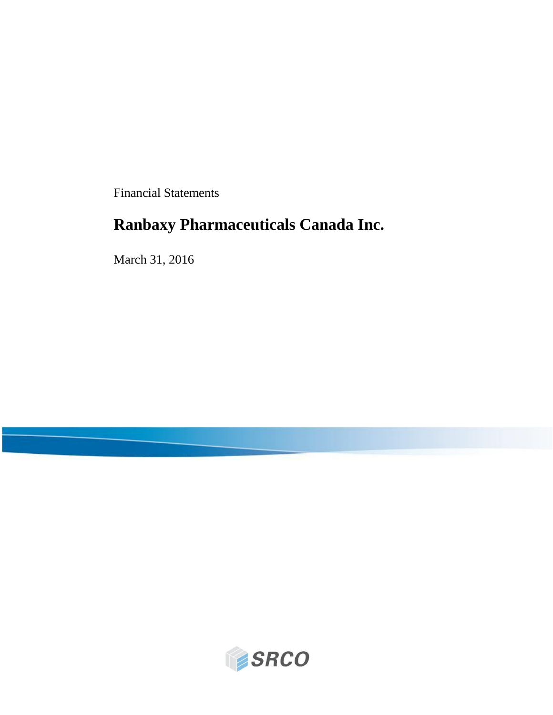Financial Statements

# **Ranbaxy Pharmaceuticals Canada Inc.**

March 31, 2016

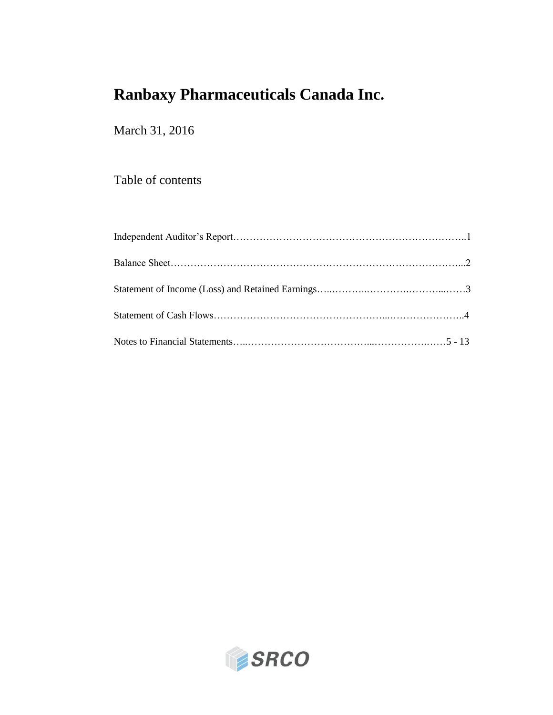March 31, 2016

## Table of contents

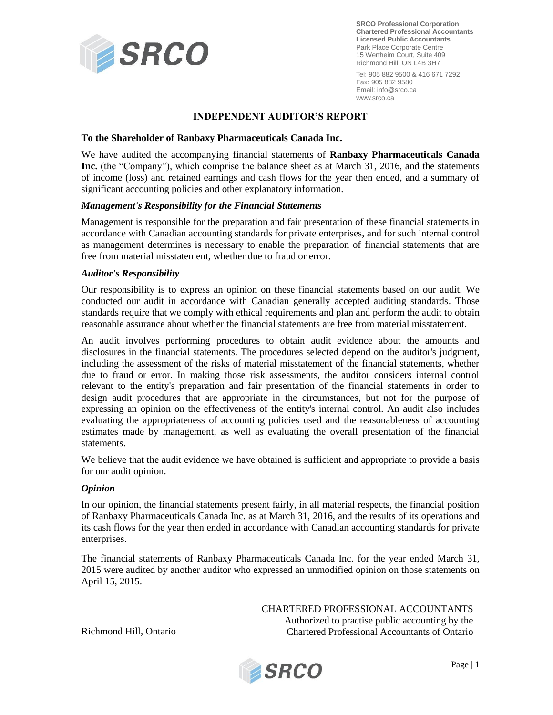

**SRCO Professional Corporation Chartered Professional Accountants Licensed Public Accountants** Park Place Corporate Centre 15 Wertheim Court, Suite 409 Richmond Hill, ON L4B 3H7 Tel: 905 882 9500 & 416 671 7292 Fax: 905 882 9580 Email: info@srco.ca www.srco.ca

#### **INDEPENDENT AUDITOR'S REPORT**

#### **To the Shareholder of Ranbaxy Pharmaceuticals Canada Inc.**

We have audited the accompanying financial statements of **Ranbaxy Pharmaceuticals Canada Inc.** (the "Company"), which comprise the balance sheet as at March 31, 2016, and the statements of income (loss) and retained earnings and cash flows for the year then ended, and a summary of significant accounting policies and other explanatory information.

#### *Management's Responsibility for the Financial Statements*

Management is responsible for the preparation and fair presentation of these financial statements in accordance with Canadian accounting standards for private enterprises, and for such internal control as management determines is necessary to enable the preparation of financial statements that are free from material misstatement, whether due to fraud or error.

#### *Auditor's Responsibility*

Our responsibility is to express an opinion on these financial statements based on our audit. We conducted our audit in accordance with Canadian generally accepted auditing standards. Those standards require that we comply with ethical requirements and plan and perform the audit to obtain reasonable assurance about whether the financial statements are free from material misstatement.

An audit involves performing procedures to obtain audit evidence about the amounts and disclosures in the financial statements. The procedures selected depend on the auditor's judgment, including the assessment of the risks of material misstatement of the financial statements, whether due to fraud or error. In making those risk assessments, the auditor considers internal control relevant to the entity's preparation and fair presentation of the financial statements in order to design audit procedures that are appropriate in the circumstances, but not for the purpose of expressing an opinion on the effectiveness of the entity's internal control. An audit also includes evaluating the appropriateness of accounting policies used and the reasonableness of accounting estimates made by management, as well as evaluating the overall presentation of the financial statements.

We believe that the audit evidence we have obtained is sufficient and appropriate to provide a basis for our audit opinion.

#### *Opinion*

In our opinion, the financial statements present fairly, in all material respects, the financial position of Ranbaxy Pharmaceuticals Canada Inc. as at March 31, 2016, and the results of its operations and its cash flows for the year then ended in accordance with Canadian accounting standards for private enterprises.

The financial statements of Ranbaxy Pharmaceuticals Canada Inc. for the year ended March 31, 2015 were audited by another auditor who expressed an unmodified opinion on those statements on April 15, 2015.

> CHARTERED PROFESSIONAL ACCOUNTANTS Authorized to practise public accounting by the Chartered Professional Accountants of Ontario

Richmond Hill, Ontario

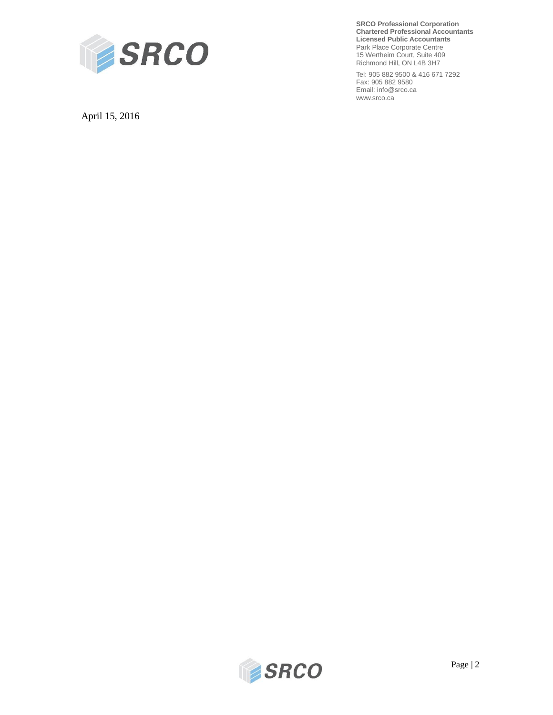

**SRCO Professional Corporation Chartered Professional Accountants Licensed Public Accountants** Park Place Corporate Centre 15 Wertheim Court, Suite 409 Richmond Hill, ON L4B 3H7

Tel: 905 882 9500 & 416 671 7292 Fax: 905 882 9580 Email: info@srco.ca www.srco.ca

April 15, 2016

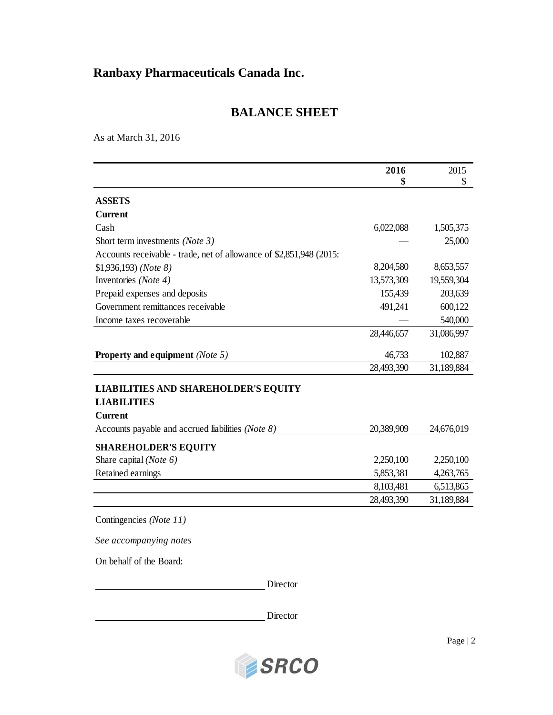## **BALANCE SHEET**

As at March 31, 2016

|                                                                     | 2016       | 2015<br>\$ |
|---------------------------------------------------------------------|------------|------------|
|                                                                     |            |            |
| <b>ASSETS</b>                                                       |            |            |
| <b>Current</b>                                                      |            |            |
| Cash                                                                | 6,022,088  | 1,505,375  |
| Short term investments (Note $3$ )                                  |            | 25,000     |
| Accounts receivable - trade, net of allowance of \$2,851,948 (2015: |            |            |
| $$1,936,193)$ (Note 8)                                              | 8,204,580  | 8,653,557  |
| Inventories (Note 4)                                                | 13,573,309 | 19,559,304 |
| Prepaid expenses and deposits                                       | 155,439    | 203,639    |
| Government remittances receivable                                   | 491,241    | 600,122    |
| Income taxes recoverable                                            |            | 540,000    |
|                                                                     | 28,446,657 | 31,086,997 |
| Property and equipment (Note 5)                                     | 46,733     | 102,887    |
|                                                                     | 28,493,390 | 31,189,884 |
| <b>LIABILITIES AND SHAREHOLDER'S EQUITY</b>                         |            |            |
| <b>LIABILITIES</b>                                                  |            |            |
| <b>Current</b>                                                      |            |            |
| Accounts payable and accrued liabilities (Note 8)                   | 20,389,909 | 24,676,019 |
| <b>SHAREHOLDER'S EQUITY</b>                                         |            |            |
| Share capital (Note 6)                                              | 2,250,100  | 2,250,100  |
| Retained earnings                                                   | 5,853,381  | 4,263,765  |
|                                                                     | 8,103,481  | 6,513,865  |
|                                                                     | 28,493,390 | 31,189,884 |
|                                                                     |            |            |

Contingencies *(Note 11)*

*See accompanying notes*

On behalf of the Board:

Director

Director

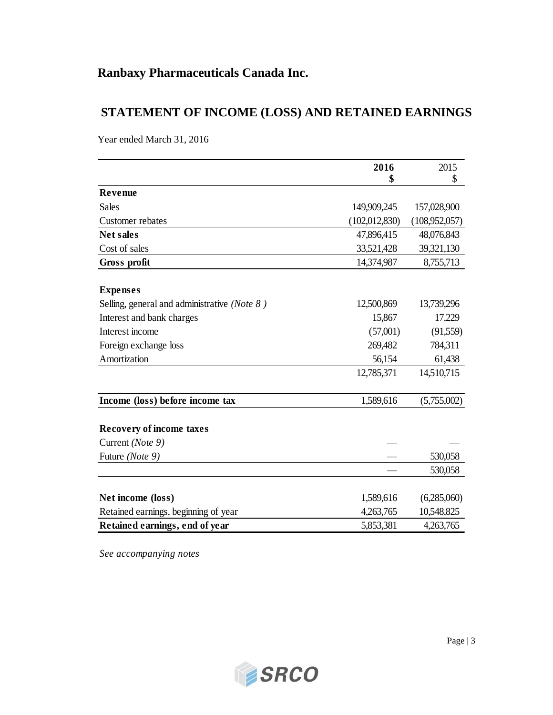## **STATEMENT OF INCOME (LOSS) AND RETAINED EARNINGS**

Year ended March 31, 2016

|                                                       | 2016            | 2015          |
|-------------------------------------------------------|-----------------|---------------|
|                                                       | \$              | \$            |
| Revenue                                               |                 |               |
| <b>Sales</b>                                          | 149,909,245     | 157,028,900   |
| <b>Customer</b> rebates                               | (102, 012, 830) | (108,952,057) |
| <b>Net sales</b>                                      | 47,896,415      | 48,076,843    |
| Cost of sales                                         | 33,521,428      | 39,321,130    |
| <b>Gross profit</b>                                   | 14,374,987      | 8,755,713     |
|                                                       |                 |               |
| <b>Expenses</b>                                       |                 |               |
| Selling, general and administrative ( <i>Note 8</i> ) | 12,500,869      | 13,739,296    |
| Interest and bank charges                             | 15,867          | 17,229        |
| Interest income                                       | (57,001)        | (91,559)      |
| Foreign exchange loss                                 | 269,482         | 784,311       |
| Amortization                                          | 56,154          | 61,438        |
|                                                       | 12,785,371      | 14,510,715    |
|                                                       |                 |               |
| Income (loss) before income tax                       | 1,589,616       | (5,755,002)   |
|                                                       |                 |               |
| <b>Recovery of income taxes</b>                       |                 |               |
| Current (Note 9)                                      |                 |               |
| Future (Note 9)                                       |                 | 530,058       |
|                                                       |                 | 530,058       |
| Net income (loss)                                     | 1,589,616       | (6,285,060)   |
| Retained earnings, beginning of year                  | 4,263,765       | 10,548,825    |
| Retained earnings, end of year                        | 5,853,381       | 4,263,765     |

*See accompanying notes*

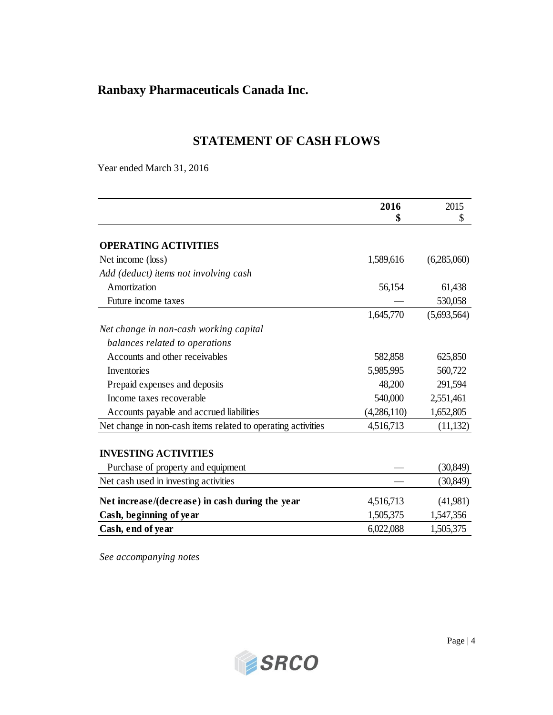## **STATEMENT OF CASH FLOWS**

Year ended March 31, 2016

|                                                              | 2016<br>\$  | 2015<br>\$  |
|--------------------------------------------------------------|-------------|-------------|
| <b>OPERATING ACTIVITIES</b>                                  |             |             |
| Net income (loss)                                            | 1,589,616   | (6,285,060) |
| Add (deduct) items not involving cash                        |             |             |
| Amortization                                                 | 56,154      | 61,438      |
|                                                              |             |             |
| Future income taxes                                          |             | 530,058     |
|                                                              | 1,645,770   | (5,693,564) |
| Net change in non-cash working capital                       |             |             |
| balances related to operations                               |             |             |
| Accounts and other receivables                               | 582,858     | 625,850     |
| Inventories                                                  | 5,985,995   | 560,722     |
| Prepaid expenses and deposits                                | 48,200      | 291,594     |
| Income taxes recoverable                                     | 540,000     | 2,551,461   |
| Accounts payable and accrued liabilities                     | (4,286,110) | 1,652,805   |
| Net change in non-cash items related to operating activities | 4,516,713   | (11, 132)   |
|                                                              |             |             |
| <b>INVESTING ACTIVITIES</b>                                  |             |             |
| Purchase of property and equipment                           |             | (30, 849)   |
| Net cash used in investing activities                        |             | (30, 849)   |
| Net increase/(decrease) in cash during the year              | 4,516,713   | (41,981)    |
| Cash, beginning of year                                      | 1,505,375   | 1,547,356   |
| Cash, end of year                                            | 6,022,088   | 1,505,375   |

*See accompanying notes*

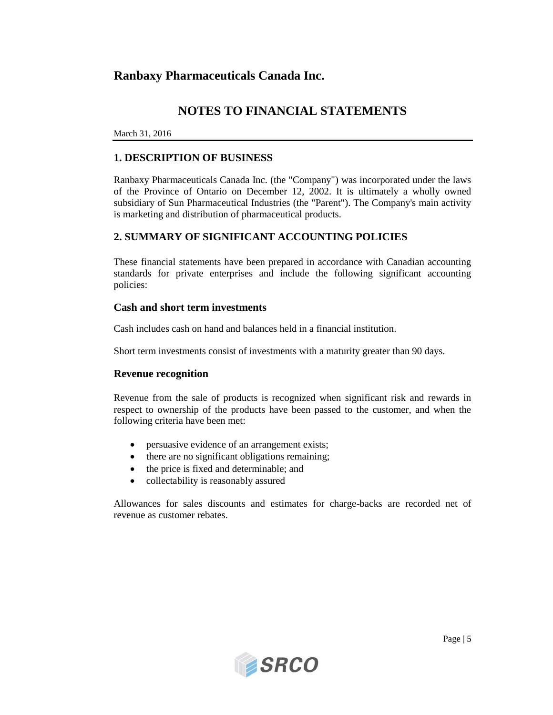## **NOTES TO FINANCIAL STATEMENTS**

#### March 31, 2016

### **1. DESCRIPTION OF BUSINESS**

Ranbaxy Pharmaceuticals Canada Inc. (the "Company") was incorporated under the laws of the Province of Ontario on December 12, 2002. It is ultimately a wholly owned subsidiary of Sun Pharmaceutical Industries (the "Parent"). The Company's main activity is marketing and distribution of pharmaceutical products.

### **2. SUMMARY OF SIGNIFICANT ACCOUNTING POLICIES**

These financial statements have been prepared in accordance with Canadian accounting standards for private enterprises and include the following significant accounting policies:

#### **Cash and short term investments**

Cash includes cash on hand and balances held in a financial institution.

Short term investments consist of investments with a maturity greater than 90 days.

#### **Revenue recognition**

Revenue from the sale of products is recognized when significant risk and rewards in respect to ownership of the products have been passed to the customer, and when the following criteria have been met:

- persuasive evidence of an arrangement exists;
- there are no significant obligations remaining;
- the price is fixed and determinable; and
- collectability is reasonably assured

Allowances for sales discounts and estimates for charge-backs are recorded net of revenue as customer rebates.

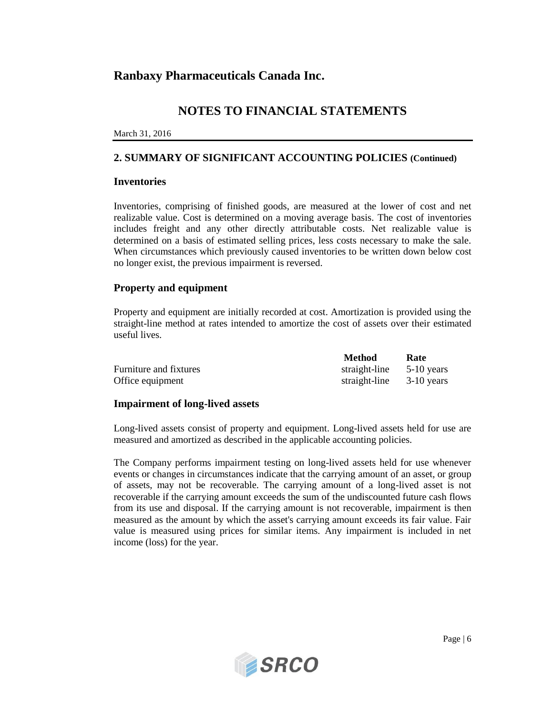## **NOTES TO FINANCIAL STATEMENTS**

March 31, 2016

### **2. SUMMARY OF SIGNIFICANT ACCOUNTING POLICIES (Continued)**

#### **Inventories**

Inventories, comprising of finished goods, are measured at the lower of cost and net realizable value. Cost is determined on a moving average basis. The cost of inventories includes freight and any other directly attributable costs. Net realizable value is determined on a basis of estimated selling prices, less costs necessary to make the sale. When circumstances which previously caused inventories to be written down below cost no longer exist, the previous impairment is reversed.

#### **Property and equipment**

Property and equipment are initially recorded at cost. Amortization is provided using the straight-line method at rates intended to amortize the cost of assets over their estimated useful lives.

**Method Rate**

|                        | Method        | Rate         |
|------------------------|---------------|--------------|
| Furniture and fixtures | straight-line | $5-10$ years |
| Office equipment       | straight-line | $3-10$ years |

#### **Impairment of long-lived assets**

Long-lived assets consist of property and equipment. Long-lived assets held for use are measured and amortized as described in the applicable accounting policies.

The Company performs impairment testing on long-lived assets held for use whenever events or changes in circumstances indicate that the carrying amount of an asset, or group of assets, may not be recoverable. The carrying amount of a long-lived asset is not recoverable if the carrying amount exceeds the sum of the undiscounted future cash flows from its use and disposal. If the carrying amount is not recoverable, impairment is then measured as the amount by which the asset's carrying amount exceeds its fair value. Fair value is measured using prices for similar items. Any impairment is included in net income (loss) for the year.

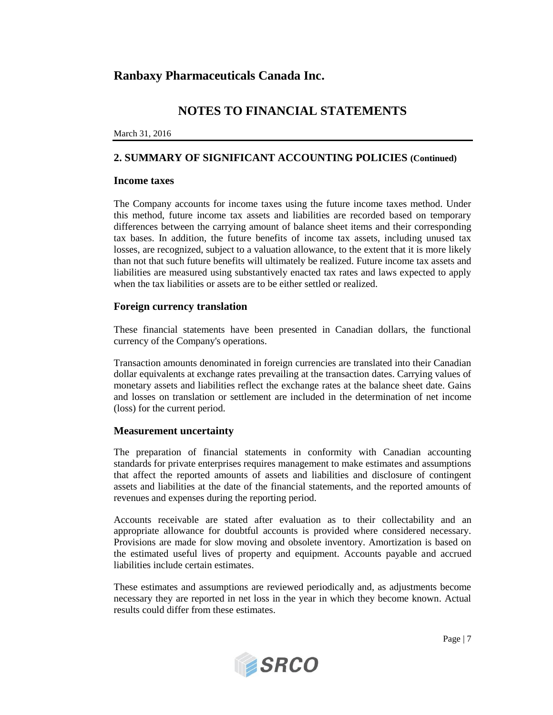## **NOTES TO FINANCIAL STATEMENTS**

March 31, 2016

#### **2. SUMMARY OF SIGNIFICANT ACCOUNTING POLICIES (Continued)**

#### **Income taxes**

The Company accounts for income taxes using the future income taxes method. Under this method, future income tax assets and liabilities are recorded based on temporary differences between the carrying amount of balance sheet items and their corresponding tax bases. In addition, the future benefits of income tax assets, including unused tax losses, are recognized, subject to a valuation allowance, to the extent that it is more likely than not that such future benefits will ultimately be realized. Future income tax assets and liabilities are measured using substantively enacted tax rates and laws expected to apply when the tax liabilities or assets are to be either settled or realized.

#### **Foreign currency translation**

These financial statements have been presented in Canadian dollars, the functional currency of the Company's operations.

Transaction amounts denominated in foreign currencies are translated into their Canadian dollar equivalents at exchange rates prevailing at the transaction dates. Carrying values of monetary assets and liabilities reflect the exchange rates at the balance sheet date. Gains and losses on translation or settlement are included in the determination of net income (loss) for the current period.

#### **Measurement uncertainty**

The preparation of financial statements in conformity with Canadian accounting standards for private enterprises requires management to make estimates and assumptions that affect the reported amounts of assets and liabilities and disclosure of contingent assets and liabilities at the date of the financial statements, and the reported amounts of revenues and expenses during the reporting period.

Accounts receivable are stated after evaluation as to their collectability and an appropriate allowance for doubtful accounts is provided where considered necessary. Provisions are made for slow moving and obsolete inventory. Amortization is based on the estimated useful lives of property and equipment. Accounts payable and accrued liabilities include certain estimates.

These estimates and assumptions are reviewed periodically and, as adjustments become necessary they are reported in net loss in the year in which they become known. Actual results could differ from these estimates.

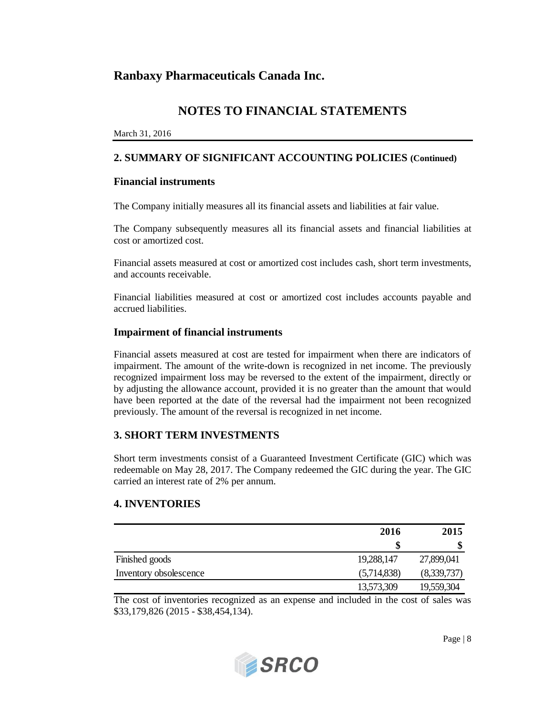## **NOTES TO FINANCIAL STATEMENTS**

March 31, 2016

#### **2. SUMMARY OF SIGNIFICANT ACCOUNTING POLICIES (Continued)**

#### **Financial instruments**

The Company initially measures all its financial assets and liabilities at fair value.

The Company subsequently measures all its financial assets and financial liabilities at cost or amortized cost.

Financial assets measured at cost or amortized cost includes cash, short term investments, and accounts receivable.

Financial liabilities measured at cost or amortized cost includes accounts payable and accrued liabilities.

#### **Impairment of financial instruments**

Financial assets measured at cost are tested for impairment when there are indicators of impairment. The amount of the write-down is recognized in net income. The previously recognized impairment loss may be reversed to the extent of the impairment, directly or by adjusting the allowance account, provided it is no greater than the amount that would have been reported at the date of the reversal had the impairment not been recognized previously. The amount of the reversal is recognized in net income.

#### **3. SHORT TERM INVESTMENTS**

Short term investments consist of a Guaranteed Investment Certificate (GIC) which was redeemable on May 28, 2017. The Company redeemed the GIC during the year. The GIC carried an interest rate of 2% per annum.

#### **4. INVENTORIES**

|                        | 2016        | 2015        |
|------------------------|-------------|-------------|
|                        |             |             |
| Finished goods         | 19,288,147  | 27,899,041  |
| Inventory obsolescence | (5,714,838) | (8,339,737) |
|                        | 13,573,309  | 19,559,304  |

The cost of inventories recognized as an expense and included in the cost of sales was \$33,179,826 (2015 - \$38,454,134).

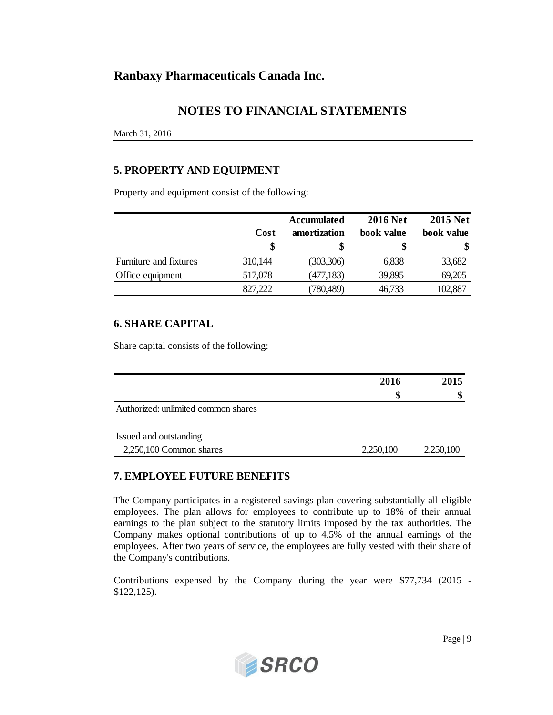## **NOTES TO FINANCIAL STATEMENTS**

March 31, 2016

#### **5. PROPERTY AND EQUIPMENT**

Property and equipment consist of the following:

|                        |         | <b>Accumulated</b> | <b>2016 Net</b> | <b>2015 Net</b> |
|------------------------|---------|--------------------|-----------------|-----------------|
|                        | Cost    | amortization       | book value      | book value      |
|                        |         |                    |                 |                 |
| Furniture and fixtures | 310,144 | (303,306)          | 6,838           | 33,682          |
| Office equipment       | 517,078 | (477, 183)         | 39,895          | 69,205          |
|                        | 827,222 | (780, 489)         | 46,733          | 102,887         |

#### **6. SHARE CAPITAL**

Share capital consists of the following:

|                                     | 2016      | 2015      |
|-------------------------------------|-----------|-----------|
| Authorized: unlimited common shares |           |           |
| Issued and outstanding              |           |           |
| 2,250,100 Common shares             | 2,250,100 | 2,250,100 |

#### **7. EMPLOYEE FUTURE BENEFITS**

The Company participates in a registered savings plan covering substantially all eligible employees. The plan allows for employees to contribute up to 18% of their annual earnings to the plan subject to the statutory limits imposed by the tax authorities. The Company makes optional contributions of up to 4.5% of the annual earnings of the employees. After two years of service, the employees are fully vested with their share of the Company's contributions.

Contributions expensed by the Company during the year were \$77,734 (2015 - \$122,125).

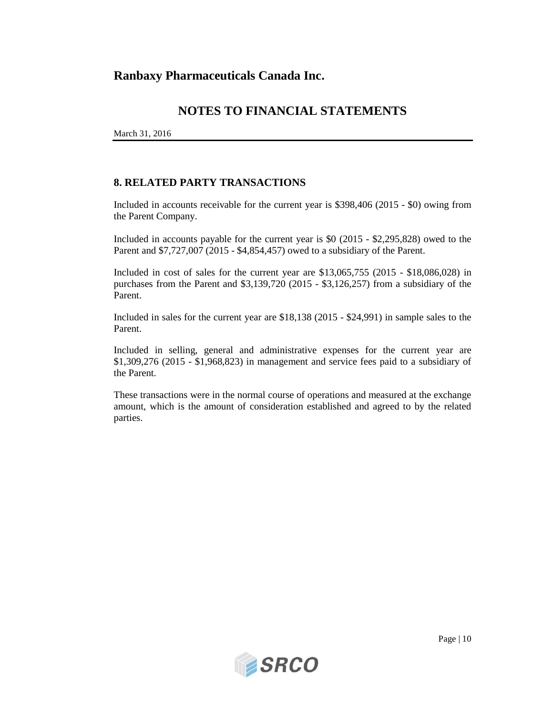## **NOTES TO FINANCIAL STATEMENTS**

March 31, 2016

#### **8. RELATED PARTY TRANSACTIONS**

Included in accounts receivable for the current year is \$398,406 (2015 - \$0) owing from the Parent Company.

Included in accounts payable for the current year is \$0 (2015 - \$2,295,828) owed to the Parent and \$7,727,007 (2015 - \$4,854,457) owed to a subsidiary of the Parent.

Included in cost of sales for the current year are \$13,065,755 (2015 - \$18,086,028) in purchases from the Parent and \$3,139,720 (2015 - \$3,126,257) from a subsidiary of the Parent.

Included in sales for the current year are \$18,138 (2015 - \$24,991) in sample sales to the Parent.

Included in selling, general and administrative expenses for the current year are \$1,309,276 (2015 - \$1,968,823) in management and service fees paid to a subsidiary of the Parent.

These transactions were in the normal course of operations and measured at the exchange amount, which is the amount of consideration established and agreed to by the related parties.

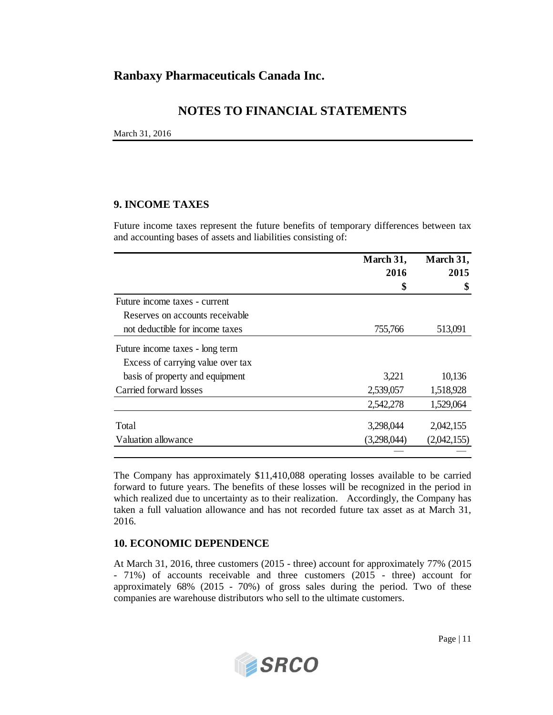## **NOTES TO FINANCIAL STATEMENTS**

March 31, 2016

#### **9. INCOME TAXES**

Future income taxes represent the future benefits of temporary differences between tax and accounting bases of assets and liabilities consisting of:

|                                   | March 31,<br>2016 | March 31,<br>2015 |  |
|-----------------------------------|-------------------|-------------------|--|
|                                   |                   |                   |  |
|                                   | \$                | \$                |  |
| Future income taxes - current     |                   |                   |  |
| Reserves on accounts receivable   |                   |                   |  |
| not deductible for income taxes   | 755,766           | 513,091           |  |
| Future income taxes - long term   |                   |                   |  |
| Excess of carrying value over tax |                   |                   |  |
| basis of property and equipment   | 3,221             | 10,136            |  |
| Carried forward losses            | 2,539,057         | 1,518,928         |  |
|                                   | 2,542,278         | 1,529,064         |  |
| Total                             | 3,298,044         | 2,042,155         |  |
| Valuation allowance               | (3,298,044)       | (2,042,155)       |  |
|                                   |                   |                   |  |

The Company has approximately \$11,410,088 operating losses available to be carried forward to future years. The benefits of these losses will be recognized in the period in which realized due to uncertainty as to their realization. Accordingly, the Company has taken a full valuation allowance and has not recorded future tax asset as at March 31, 2016.

#### **10. ECONOMIC DEPENDENCE**

At March 31, 2016, three customers (2015 - three) account for approximately 77% (2015 - 71%) of accounts receivable and three customers (2015 - three) account for approximately 68% (2015 - 70%) of gross sales during the period. Two of these companies are warehouse distributors who sell to the ultimate customers.

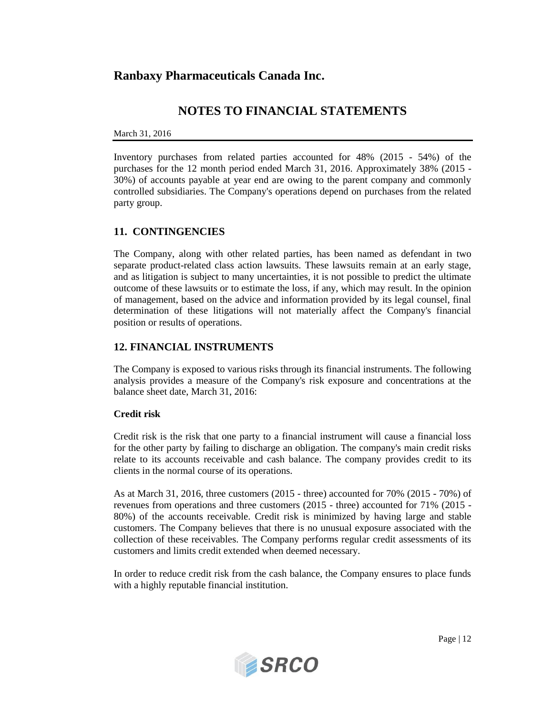## **NOTES TO FINANCIAL STATEMENTS**

#### March 31, 2016

Inventory purchases from related parties accounted for 48% (2015 - 54%) of the purchases for the 12 month period ended March 31, 2016. Approximately 38% (2015 - 30%) of accounts payable at year end are owing to the parent company and commonly controlled subsidiaries. The Company's operations depend on purchases from the related party group.

### **11. CONTINGENCIES**

The Company, along with other related parties, has been named as defendant in two separate product-related class action lawsuits. These lawsuits remain at an early stage, and as litigation is subject to many uncertainties, it is not possible to predict the ultimate outcome of these lawsuits or to estimate the loss, if any, which may result. In the opinion of management, based on the advice and information provided by its legal counsel, final determination of these litigations will not materially affect the Company's financial position or results of operations.

### **12. FINANCIAL INSTRUMENTS**

The Company is exposed to various risks through its financial instruments. The following analysis provides a measure of the Company's risk exposure and concentrations at the balance sheet date, March 31, 2016:

#### **Credit risk**

Credit risk is the risk that one party to a financial instrument will cause a financial loss for the other party by failing to discharge an obligation. The company's main credit risks relate to its accounts receivable and cash balance. The company provides credit to its clients in the normal course of its operations.

As at March 31, 2016, three customers (2015 - three) accounted for 70% (2015 - 70%) of revenues from operations and three customers (2015 - three) accounted for 71% (2015 - 80%) of the accounts receivable. Credit risk is minimized by having large and stable customers. The Company believes that there is no unusual exposure associated with the collection of these receivables. The Company performs regular credit assessments of its customers and limits credit extended when deemed necessary.

In order to reduce credit risk from the cash balance, the Company ensures to place funds with a highly reputable financial institution.

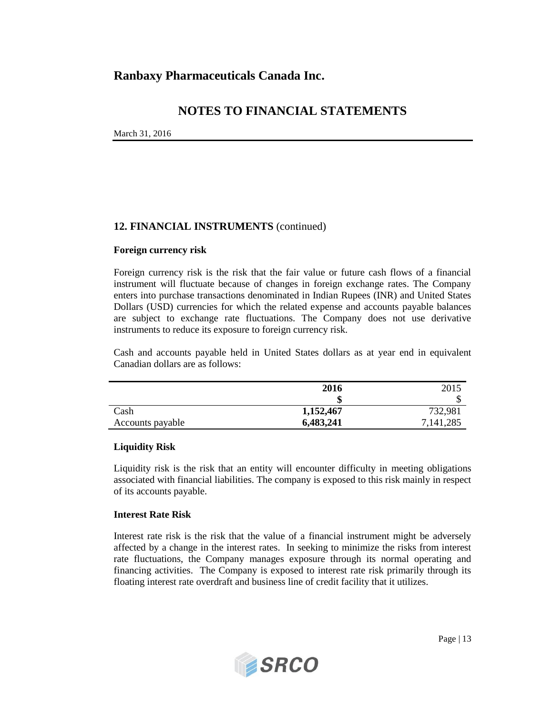## **NOTES TO FINANCIAL STATEMENTS**

March 31, 2016

### **12. FINANCIAL INSTRUMENTS** (continued)

#### **Foreign currency risk**

Foreign currency risk is the risk that the fair value or future cash flows of a financial instrument will fluctuate because of changes in foreign exchange rates. The Company enters into purchase transactions denominated in Indian Rupees (INR) and United States Dollars (USD) currencies for which the related expense and accounts payable balances are subject to exchange rate fluctuations. The Company does not use derivative instruments to reduce its exposure to foreign currency risk.

Cash and accounts payable held in United States dollars as at year end in equivalent Canadian dollars are as follows:

|                  | 2016      | 2015      |
|------------------|-----------|-----------|
|                  |           |           |
| Cash             | 1,152,467 | 732,981   |
| Accounts payable | 6,483,241 | 7,141,285 |

#### **Liquidity Risk**

Liquidity risk is the risk that an entity will encounter difficulty in meeting obligations associated with financial liabilities. The company is exposed to this risk mainly in respect of its accounts payable.

#### **Interest Rate Risk**

Interest rate risk is the risk that the value of a financial instrument might be adversely affected by a change in the interest rates. In seeking to minimize the risks from interest rate fluctuations, the Company manages exposure through its normal operating and financing activities. The Company is exposed to interest rate risk primarily through its floating interest rate overdraft and business line of credit facility that it utilizes.